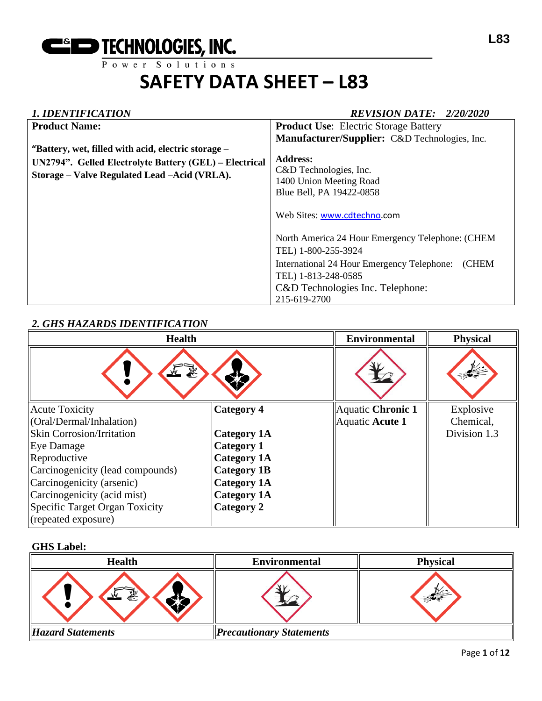

#### *1. IDENTIFICATION REVISION DATE: 2/20/2020*

| 1. IDDI 1111 IVIII 1VI 1                                                                                                                                       | 1127191011 <i>Di</i> 112.                                                                                                                                                                                                                                                                      |
|----------------------------------------------------------------------------------------------------------------------------------------------------------------|------------------------------------------------------------------------------------------------------------------------------------------------------------------------------------------------------------------------------------------------------------------------------------------------|
| <b>Product Name:</b>                                                                                                                                           | <b>Product Use:</b> Electric Storage Battery                                                                                                                                                                                                                                                   |
|                                                                                                                                                                | Manufacturer/Supplier: C&D Technologies, Inc.                                                                                                                                                                                                                                                  |
| "Battery, wet, filled with acid, electric storage –<br>UN2794". Gelled Electrolyte Battery (GEL) – Electrical<br>Storage - Valve Regulated Lead - Acid (VRLA). | <b>Address:</b><br>C&D Technologies, Inc.<br>1400 Union Meeting Road<br>Blue Bell, PA 19422-0858<br>Web Sites: www.cdtechno.com<br>North America 24 Hour Emergency Telephone: (CHEM<br>TEL) 1-800-255-3924<br>International 24 Hour Emergency Telephone:<br><b>CHEM</b><br>TEL) 1-813-248-0585 |
|                                                                                                                                                                | C&D Technologies Inc. Telephone:<br>215-619-2700                                                                                                                                                                                                                                               |

#### *2. GHS HAZARDS IDENTIFICATION*

| <b>Health</b>                    |                    | <b>Environmental</b>     | <b>Physical</b> |
|----------------------------------|--------------------|--------------------------|-----------------|
| 象<br>$\frac{1}{2}$               |                    |                          |                 |
| <b>Acute Toxicity</b>            | Category 4         | <b>Aquatic Chronic 1</b> | Explosive       |
| (Oral/Dermal/Inhalation)         |                    | Aquatic Acute 1          | Chemical,       |
| <b>Skin Corrosion/Irritation</b> | <b>Category 1A</b> |                          | Division 1.3    |
| Eye Damage                       | <b>Category 1</b>  |                          |                 |
| Reproductive                     | <b>Category 1A</b> |                          |                 |
| Carcinogenicity (lead compounds) | <b>Category 1B</b> |                          |                 |
| Carcinogenicity (arsenic)        | <b>Category 1A</b> |                          |                 |
| Carcinogenicity (acid mist)      | <b>Category 1A</b> |                          |                 |
| Specific Target Organ Toxicity   | Category 2         |                          |                 |
| (repeated exposure)              |                    |                          |                 |

#### **GHS Label:**

| <b>Health</b>            | <b>Environmental</b>            | <b>Physical</b> |
|--------------------------|---------------------------------|-----------------|
| 象,                       |                                 |                 |
| <b>Hazard Statements</b> | <b>Precautionary Statements</b> |                 |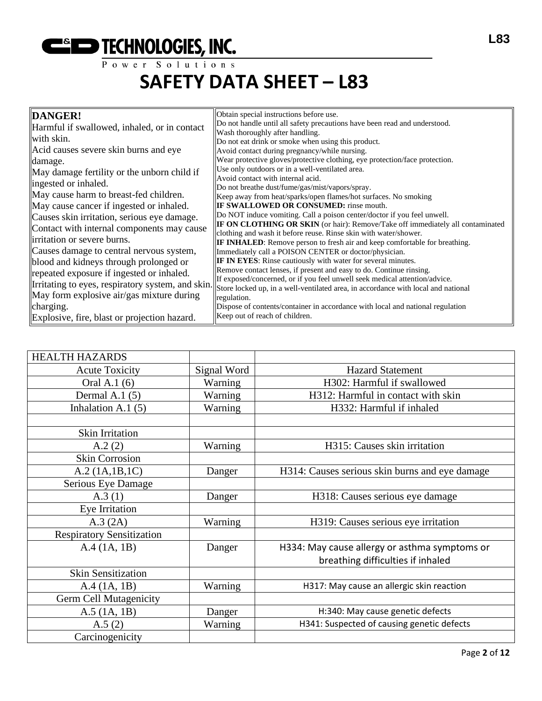**ESED TECHNOLOGIES, INC.** 

**L83**

### **SAFETY DATA SHEET – L83**

| DANGER!                                          | Obtain special instructions before use.                                                                                                               |
|--------------------------------------------------|-------------------------------------------------------------------------------------------------------------------------------------------------------|
| Harmful if swallowed, inhaled, or in contact     | Do not handle until all safety precautions have been read and understood.                                                                             |
| with skin.                                       | Wash thoroughly after handling.                                                                                                                       |
| Acid causes severe skin burns and eye            | Do not eat drink or smoke when using this product.<br>Avoid contact during pregnancy/while nursing.                                                   |
| damage.                                          | Wear protective gloves/protective clothing, eye protection/face protection.                                                                           |
|                                                  | Use only outdoors or in a well-ventilated area.                                                                                                       |
| May damage fertility or the unborn child if      | Avoid contact with internal acid.                                                                                                                     |
| ingested or inhaled.                             | Do not breathe dust/fume/gas/mist/vapors/spray.                                                                                                       |
| May cause harm to breast-fed children.           | Keep away from heat/sparks/open flames/hot surfaces. No smoking                                                                                       |
| May cause cancer if ingested or inhaled.         | <b>IF SWALLOWED OR CONSUMED:</b> rinse mouth.                                                                                                         |
| Causes skin irritation, serious eye damage.      | Do NOT induce vomiting. Call a poison center/doctor if you feel unwell.                                                                               |
| Contact with internal components may cause       | <b>IF ON CLOTHING OR SKIN</b> (or hair): Remove/Take off immediately all contaminated                                                                 |
| irritation or severe burns.                      | clothing and wash it before reuse. Rinse skin with water/shower.<br><b>IF INHALED:</b> Remove person to fresh air and keep comfortable for breathing. |
| Causes damage to central nervous system,         | Immediately call a POISON CENTER or doctor/physician.                                                                                                 |
| blood and kidneys through prolonged or           | <b>IF IN EYES:</b> Rinse cautiously with water for several minutes.                                                                                   |
| repeated exposure if ingested or inhaled.        | Remove contact lenses, if present and easy to do. Continue rinsing.                                                                                   |
| Irritating to eyes, respiratory system, and skin | If exposed/concerned, or if you feel unwell seek medical attention/advice.                                                                            |
|                                                  | Store locked up, in a well-ventilated area, in accordance with local and national                                                                     |
| May form explosive air/gas mixture during        | regulation.                                                                                                                                           |
| charging.                                        | Dispose of contents/container in accordance with local and national regulation                                                                        |
| Explosive, fire, blast or projection hazard.     | Keep out of reach of children.                                                                                                                        |

| <b>HEALTH HAZARDS</b>            |             |                                                |
|----------------------------------|-------------|------------------------------------------------|
| <b>Acute Toxicity</b>            | Signal Word | <b>Hazard Statement</b>                        |
| Oral A.1 (6)                     | Warning     | H302: Harmful if swallowed                     |
| Dermal A.1 $(5)$                 | Warning     | H312: Harmful in contact with skin             |
| Inhalation A.1 $(5)$             | Warning     | H332: Harmful if inhaled                       |
|                                  |             |                                                |
| <b>Skin Irritation</b>           |             |                                                |
| A.2(2)                           | Warning     | H315: Causes skin irritation                   |
| <b>Skin Corrosion</b>            |             |                                                |
| A.2 (1A.1B.1C)                   | Danger      | H314: Causes serious skin burns and eye damage |
| Serious Eye Damage               |             |                                                |
| A.3(1)                           | Danger      | H318: Causes serious eye damage                |
| Eye Irritation                   |             |                                                |
| A.3 (2A)                         | Warning     | H319: Causes serious eye irritation            |
| <b>Respiratory Sensitization</b> |             |                                                |
| A.4(1A, 1B)                      | Danger      | H334: May cause allergy or asthma symptoms or  |
|                                  |             | breathing difficulties if inhaled              |
| <b>Skin Sensitization</b>        |             |                                                |
| A.4 (1A, 1B)                     | Warning     | H317: May cause an allergic skin reaction      |
| <b>Germ Cell Mutagenicity</b>    |             |                                                |
| $A.5$ (1A, 1B)                   | Danger      | H:340: May cause genetic defects               |
| A.5(2)                           | Warning     | H341: Suspected of causing genetic defects     |
| Carcinogenicity                  |             |                                                |
|                                  |             |                                                |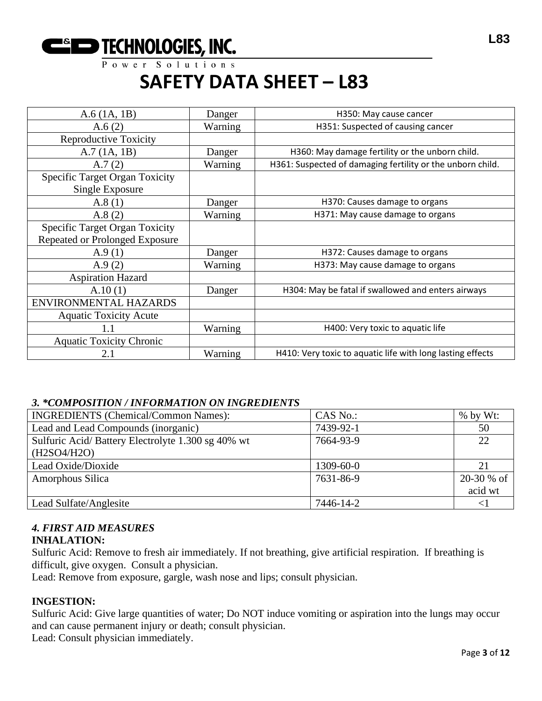**CONSPITE THE THEORET SO I** U t i on s

### **SAFETY DATA SHEET – L83**

| $A.6$ (1A, 1B)                                           | Danger  | H350: May cause cancer                                     |
|----------------------------------------------------------|---------|------------------------------------------------------------|
| A.6(2)                                                   | Warning | H351: Suspected of causing cancer                          |
| <b>Reproductive Toxicity</b>                             |         |                                                            |
| A.7(1A, 1B)                                              | Danger  | H360: May damage fertility or the unborn child.            |
| A.7(2)                                                   | Warning | H361: Suspected of damaging fertility or the unborn child. |
| <b>Specific Target Organ Toxicity</b><br>Single Exposure |         |                                                            |
| A.8(1)                                                   | Danger  | H370: Causes damage to organs                              |
| A.8(2)                                                   | Warning | H371: May cause damage to organs                           |
| Specific Target Organ Toxicity                           |         |                                                            |
| Repeated or Prolonged Exposure                           |         |                                                            |
| A.9(1)                                                   | Danger  | H372: Causes damage to organs                              |
| A.9(2)                                                   | Warning | H373: May cause damage to organs                           |
| <b>Aspiration Hazard</b>                                 |         |                                                            |
| A.10(1)                                                  | Danger  | H304: May be fatal if swallowed and enters airways         |
| ENVIRONMENTAL HAZARDS                                    |         |                                                            |
| <b>Aquatic Toxicity Acute</b>                            |         |                                                            |
| $1.1\,$                                                  | Warning | H400: Very toxic to aquatic life                           |
| <b>Aquatic Toxicity Chronic</b>                          |         |                                                            |
| 2.1                                                      | Warning | H410: Very toxic to aquatic life with long lasting effects |

#### *3. \*COMPOSITION / INFORMATION ON INGREDIENTS*

| <b>INGREDIENTS</b> (Chemical/Common Names):       | CAS No.:  | $%$ by Wt:  |
|---------------------------------------------------|-----------|-------------|
| Lead and Lead Compounds (inorganic)               | 7439-92-1 | 50          |
| Sulfuric Acid/Battery Electrolyte 1.300 sg 40% wt | 7664-93-9 | 22          |
| (H2SO4/H2O)                                       |           |             |
| Lead Oxide/Dioxide                                | 1309-60-0 | 21          |
| Amorphous Silica                                  | 7631-86-9 | $20-30%$ of |
|                                                   |           | acid wt     |
| Lead Sulfate/Anglesite                            | 7446-14-2 | $\leq$      |

### *4. FIRST AID MEASURES*

#### **INHALATION:**

Sulfuric Acid: Remove to fresh air immediately. If not breathing, give artificial respiration. If breathing is difficult, give oxygen. Consult a physician.

Lead: Remove from exposure, gargle, wash nose and lips; consult physician.

#### **INGESTION:**

Sulfuric Acid: Give large quantities of water; Do NOT induce vomiting or aspiration into the lungs may occur and can cause permanent injury or death; consult physician.

Lead: Consult physician immediately.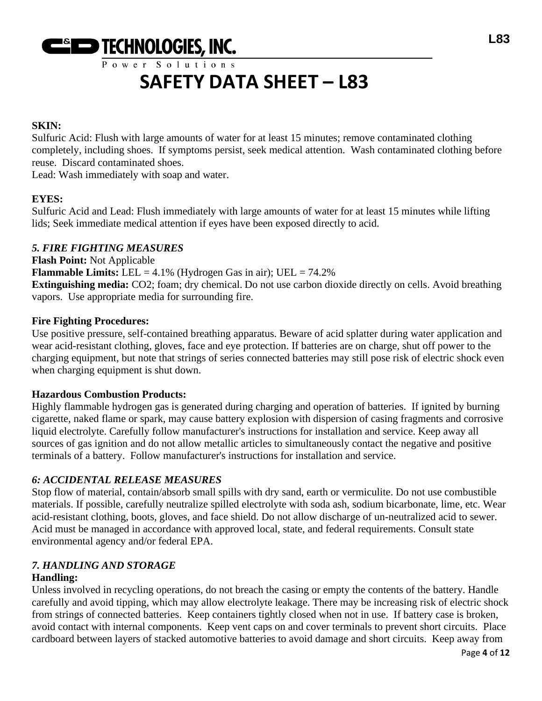

#### **SKIN:**

Sulfuric Acid: Flush with large amounts of water for at least 15 minutes; remove contaminated clothing completely, including shoes. If symptoms persist, seek medical attention. Wash contaminated clothing before reuse. Discard contaminated shoes.

Lead: Wash immediately with soap and water.

#### **EYES:**

Sulfuric Acid and Lead: Flush immediately with large amounts of water for at least 15 minutes while lifting lids; Seek immediate medical attention if eyes have been exposed directly to acid.

#### *5. FIRE FIGHTING MEASURES*

**Flash Point:** Not Applicable **Flammable Limits:** LEL = 4.1% (Hydrogen Gas in air); UEL = 74.2% **Extinguishing media:** CO2; foam; dry chemical. Do not use carbon dioxide directly on cells. Avoid breathing vapors. Use appropriate media for surrounding fire.

#### **Fire Fighting Procedures:**

Use positive pressure, self-contained breathing apparatus. Beware of acid splatter during water application and wear acid-resistant clothing, gloves, face and eye protection. If batteries are on charge, shut off power to the charging equipment, but note that strings of series connected batteries may still pose risk of electric shock even when charging equipment is shut down.

#### **Hazardous Combustion Products:**

Highly flammable hydrogen gas is generated during charging and operation of batteries. If ignited by burning cigarette, naked flame or spark, may cause battery explosion with dispersion of casing fragments and corrosive liquid electrolyte. Carefully follow manufacturer's instructions for installation and service. Keep away all sources of gas ignition and do not allow metallic articles to simultaneously contact the negative and positive terminals of a battery. Follow manufacturer's instructions for installation and service.

#### *6: ACCIDENTAL RELEASE MEASURES*

Stop flow of material, contain/absorb small spills with dry sand, earth or vermiculite. Do not use combustible materials. If possible, carefully neutralize spilled electrolyte with soda ash, sodium bicarbonate, lime, etc. Wear acid-resistant clothing, boots, gloves, and face shield. Do not allow discharge of un-neutralized acid to sewer. Acid must be managed in accordance with approved local, state, and federal requirements. Consult state environmental agency and/or federal EPA.

### *7. HANDLING AND STORAGE*

#### **Handling:**

Unless involved in recycling operations, do not breach the casing or empty the contents of the battery. Handle carefully and avoid tipping, which may allow electrolyte leakage. There may be increasing risk of electric shock from strings of connected batteries. Keep containers tightly closed when not in use. If battery case is broken, avoid contact with internal components. Keep vent caps on and cover terminals to prevent short circuits. Place cardboard between layers of stacked automotive batteries to avoid damage and short circuits. Keep away from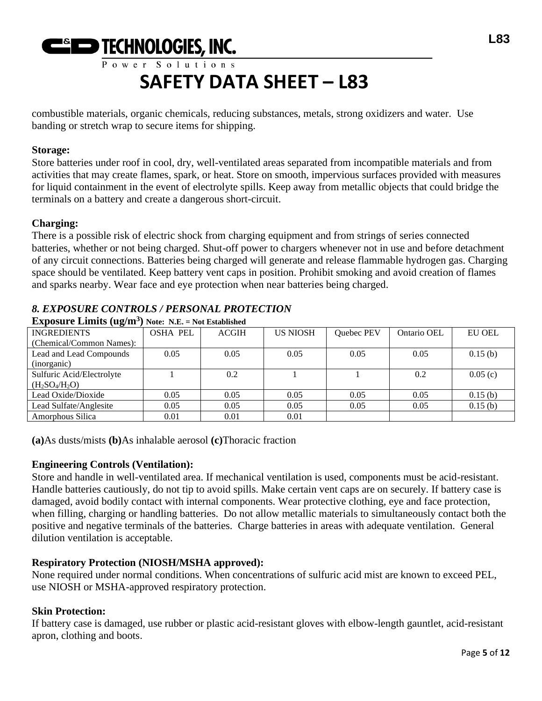# **CONSPITE THE THEORET SO I** U t i on s

## **SAFETY DATA SHEET – L83**

combustible materials, organic chemicals, reducing substances, metals, strong oxidizers and water. Use banding or stretch wrap to secure items for shipping.

#### **Storage:**

Store batteries under roof in cool, dry, well-ventilated areas separated from incompatible materials and from activities that may create flames, spark, or heat. Store on smooth, impervious surfaces provided with measures for liquid containment in the event of electrolyte spills. Keep away from metallic objects that could bridge the terminals on a battery and create a dangerous short-circuit.

#### **Charging:**

There is a possible risk of electric shock from charging equipment and from strings of series connected batteries, whether or not being charged. Shut-off power to chargers whenever not in use and before detachment of any circuit connections. Batteries being charged will generate and release flammable hydrogen gas. Charging space should be ventilated. Keep battery vent caps in position. Prohibit smoking and avoid creation of flames and sparks nearby. Wear face and eye protection when near batteries being charged.

#### *8. EXPOSURE CONTROLS / PERSONAL PROTECTION*

| <b>INGREDIENTS</b>        | <b>OSHA PEL</b> | <b>ACGIH</b> | <b>US NIOSH</b> | Quebec PEV | Ontario OEL | <b>EU OEL</b> |
|---------------------------|-----------------|--------------|-----------------|------------|-------------|---------------|
| (Chemical/Common Names):  |                 |              |                 |            |             |               |
| Lead and Lead Compounds   | 0.05            | 0.05         | 0.05            | 0.05       | 0.05        | 0.15(b)       |
| (inorganic)               |                 |              |                 |            |             |               |
| Sulfuric Acid/Electrolyte |                 | 0.2          |                 |            | 0.2         | 0.05(c)       |
| $(H_2SO_4/H_2O)$          |                 |              |                 |            |             |               |
| Lead Oxide/Dioxide        | 0.05            | 0.05         | 0.05            | 0.05       | 0.05        | 0.15(b)       |
| Lead Sulfate/Anglesite    | 0.05            | 0.05         | 0.05            | 0.05       | 0.05        | 0.15(b)       |
| Amorphous Silica          | 0.01            | 0.01         | 0.01            |            |             |               |

**Exposure Limits (ug/m<sup>3</sup> ) Note: N.E. = Not Established**

**(a)**As dusts/mists **(b)**As inhalable aerosol **(c)**Thoracic fraction

#### **Engineering Controls (Ventilation):**

Store and handle in well-ventilated area. If mechanical ventilation is used, components must be acid-resistant. Handle batteries cautiously, do not tip to avoid spills. Make certain vent caps are on securely. If battery case is damaged, avoid bodily contact with internal components. Wear protective clothing, eye and face protection, when filling, charging or handling batteries. Do not allow metallic materials to simultaneously contact both the positive and negative terminals of the batteries. Charge batteries in areas with adequate ventilation. General dilution ventilation is acceptable.

#### **Respiratory Protection (NIOSH/MSHA approved):**

None required under normal conditions. When concentrations of sulfuric acid mist are known to exceed PEL, use NIOSH or MSHA-approved respiratory protection.

#### **Skin Protection:**

If battery case is damaged, use rubber or plastic acid-resistant gloves with elbow-length gauntlet, acid-resistant apron, clothing and boots.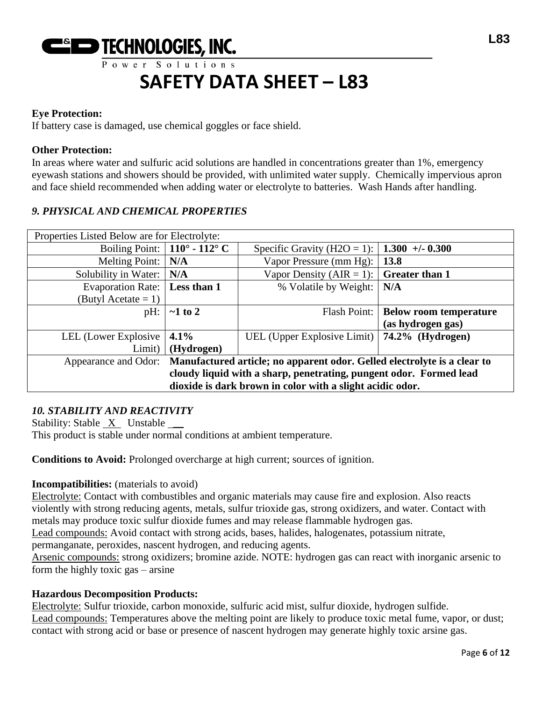

#### **Eye Protection:**

If battery case is damaged, use chemical goggles or face shield.

#### **Other Protection:**

In areas where water and sulfuric acid solutions are handled in concentrations greater than 1%, emergency eyewash stations and showers should be provided, with unlimited water supply. Chemically impervious apron and face shield recommended when adding water or electrolyte to batteries. Wash Hands after handling.

#### *9. PHYSICAL AND CHEMICAL PROPERTIES*

| Properties Listed Below are for Electrolyte:                                                     |                                      |                             |                                       |
|--------------------------------------------------------------------------------------------------|--------------------------------------|-----------------------------|---------------------------------------|
|                                                                                                  | Boiling Point: $\vert$ 110° - 112° C | Specific Gravity (H2O = 1): | $1.300 + 0.300$                       |
| <b>Melting Point:</b>                                                                            | N/A                                  | Vapor Pressure (mm Hg):     | 13.8                                  |
| Solubility in Water:                                                                             | N/A                                  | Vapor Density (AIR = 1):    | <b>Greater than 1</b>                 |
| Evaporation Rate:                                                                                | Less than 1                          | % Volatile by Weight:       | N/A                                   |
| (Butyl Acetate $= 1$ )                                                                           |                                      |                             |                                       |
| $pH$ :                                                                                           | $\sim$ 1 to 2                        |                             | Flash Point:   Below room temperature |
|                                                                                                  |                                      |                             | (as hydrogen gas)                     |
| LEL (Lower Explosive                                                                             | 4.1%                                 | UEL (Upper Explosive Limit) | $74.2\%$ (Hydrogen)                   |
| Limit)                                                                                           | (Hydrogen)                           |                             |                                       |
| Manufactured article; no apparent odor. Gelled electrolyte is a clear to<br>Appearance and Odor: |                                      |                             |                                       |
| cloudy liquid with a sharp, penetrating, pungent odor. Formed lead                               |                                      |                             |                                       |
| dioxide is dark brown in color with a slight acidic odor.                                        |                                      |                             |                                       |

#### *10. STABILITY AND REACTIVITY*

Stability: Stable X Unstable \_\_ This product is stable under normal conditions at ambient temperature.

**Conditions to Avoid:** Prolonged overcharge at high current; sources of ignition.

#### **Incompatibilities:** (materials to avoid)

Electrolyte: Contact with combustibles and organic materials may cause fire and explosion. Also reacts violently with strong reducing agents, metals, sulfur trioxide gas, strong oxidizers, and water. Contact with metals may produce toxic sulfur dioxide fumes and may release flammable hydrogen gas.

Lead compounds: Avoid contact with strong acids, bases, halides, halogenates, potassium nitrate,

permanganate, peroxides, nascent hydrogen, and reducing agents.

Arsenic compounds: strong oxidizers; bromine azide. NOTE: hydrogen gas can react with inorganic arsenic to form the highly toxic gas – arsine

#### **Hazardous Decomposition Products:**

Electrolyte: Sulfur trioxide, carbon monoxide, sulfuric acid mist, sulfur dioxide, hydrogen sulfide. Lead compounds: Temperatures above the melting point are likely to produce toxic metal fume, vapor, or dust; contact with strong acid or base or presence of nascent hydrogen may generate highly toxic arsine gas.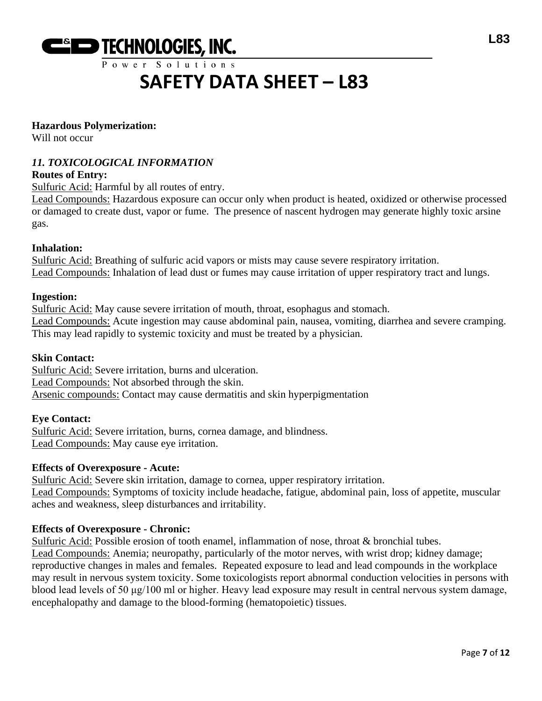

#### **Hazardous Polymerization:**

Will not occur

#### *11. TOXICOLOGICAL INFORMATION*

#### **Routes of Entry:**

Sulfuric Acid: Harmful by all routes of entry.

Lead Compounds: Hazardous exposure can occur only when product is heated, oxidized or otherwise processed or damaged to create dust, vapor or fume. The presence of nascent hydrogen may generate highly toxic arsine gas.

#### **Inhalation:**

Sulfuric Acid: Breathing of sulfuric acid vapors or mists may cause severe respiratory irritation. Lead Compounds: Inhalation of lead dust or fumes may cause irritation of upper respiratory tract and lungs.

#### **Ingestion:**

Sulfuric Acid: May cause severe irritation of mouth, throat, esophagus and stomach. Lead Compounds: Acute ingestion may cause abdominal pain, nausea, vomiting, diarrhea and severe cramping. This may lead rapidly to systemic toxicity and must be treated by a physician.

#### **Skin Contact:**

Sulfuric Acid: Severe irritation, burns and ulceration. Lead Compounds: Not absorbed through the skin. Arsenic compounds: Contact may cause dermatitis and skin hyperpigmentation

#### **Eye Contact:**

Sulfuric Acid: Severe irritation, burns, cornea damage, and blindness. Lead Compounds: May cause eye irritation.

#### **Effects of Overexposure - Acute:**

Sulfuric Acid: Severe skin irritation, damage to cornea, upper respiratory irritation. Lead Compounds: Symptoms of toxicity include headache, fatigue, abdominal pain, loss of appetite, muscular aches and weakness, sleep disturbances and irritability.

#### **Effects of Overexposure - Chronic:**

Sulfuric Acid: Possible erosion of tooth enamel, inflammation of nose, throat & bronchial tubes. Lead Compounds: Anemia; neuropathy, particularly of the motor nerves, with wrist drop; kidney damage; reproductive changes in males and females. Repeated exposure to lead and lead compounds in the workplace may result in nervous system toxicity. Some toxicologists report abnormal conduction velocities in persons with blood lead levels of 50 μg/100 ml or higher. Heavy lead exposure may result in central nervous system damage, encephalopathy and damage to the blood-forming (hematopoietic) tissues.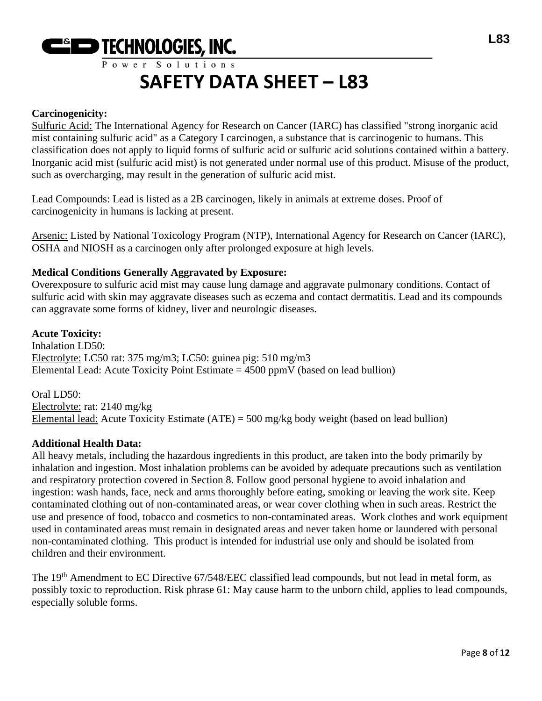

#### **Carcinogenicity:**

Sulfuric Acid: The International Agency for Research on Cancer (IARC) has classified "strong inorganic acid mist containing sulfuric acid" as a Category I carcinogen, a substance that is carcinogenic to humans. This classification does not apply to liquid forms of sulfuric acid or sulfuric acid solutions contained within a battery. Inorganic acid mist (sulfuric acid mist) is not generated under normal use of this product. Misuse of the product, such as overcharging, may result in the generation of sulfuric acid mist.

Lead Compounds: Lead is listed as a 2B carcinogen, likely in animals at extreme doses. Proof of carcinogenicity in humans is lacking at present.

Arsenic: Listed by National Toxicology Program (NTP), International Agency for Research on Cancer (IARC), OSHA and NIOSH as a carcinogen only after prolonged exposure at high levels.

#### **Medical Conditions Generally Aggravated by Exposure:**

Overexposure to sulfuric acid mist may cause lung damage and aggravate pulmonary conditions. Contact of sulfuric acid with skin may aggravate diseases such as eczema and contact dermatitis. Lead and its compounds can aggravate some forms of kidney, liver and neurologic diseases.

#### **Acute Toxicity:**

Inhalation LD50: Electrolyte: LC50 rat: 375 mg/m3; LC50: guinea pig: 510 mg/m3 Elemental Lead: Acute Toxicity Point Estimate  $= 4500$  ppmV (based on lead bullion)

Oral LD50: Electrolyte: rat: 2140 mg/kg Elemental lead: Acute Toxicity Estimate (ATE) = 500 mg/kg body weight (based on lead bullion)

#### **Additional Health Data:**

All heavy metals, including the hazardous ingredients in this product, are taken into the body primarily by inhalation and ingestion. Most inhalation problems can be avoided by adequate precautions such as ventilation and respiratory protection covered in Section 8. Follow good personal hygiene to avoid inhalation and ingestion: wash hands, face, neck and arms thoroughly before eating, smoking or leaving the work site. Keep contaminated clothing out of non-contaminated areas, or wear cover clothing when in such areas. Restrict the use and presence of food, tobacco and cosmetics to non-contaminated areas. Work clothes and work equipment used in contaminated areas must remain in designated areas and never taken home or laundered with personal non-contaminated clothing. This product is intended for industrial use only and should be isolated from children and their environment.

The 19<sup>th</sup> Amendment to EC Directive 67/548/EEC classified lead compounds, but not lead in metal form, as possibly toxic to reproduction. Risk phrase 61: May cause harm to the unborn child, applies to lead compounds, especially soluble forms.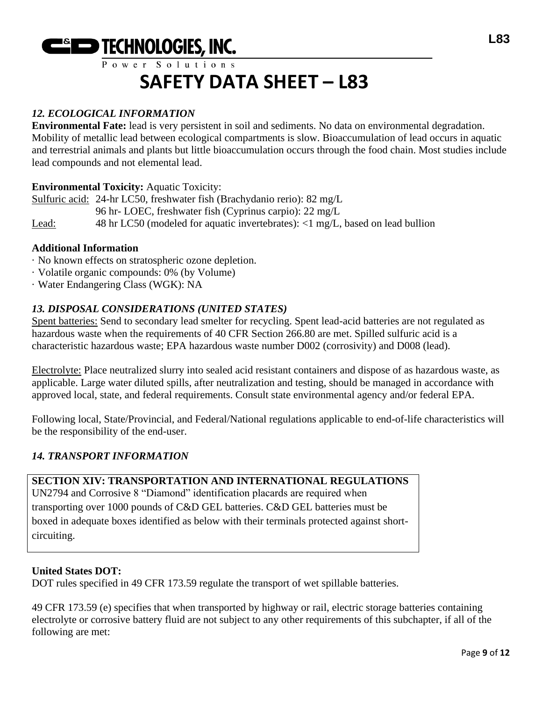

### *12. ECOLOGICAL INFORMATION*

**Environmental Fate:** lead is very persistent in soil and sediments. No data on environmental degradation. Mobility of metallic lead between ecological compartments is slow. Bioaccumulation of lead occurs in aquatic and terrestrial animals and plants but little bioaccumulation occurs through the food chain. Most studies include lead compounds and not elemental lead.

#### **Environmental Toxicity:** Aquatic Toxicity:

Sulfuric acid: 24-hr LC50, freshwater fish (Brachydanio rerio): 82 mg/L 96 hr- LOEC, freshwater fish (Cyprinus carpio): 22 mg/L Lead: 48 hr LC50 (modeled for aquatic invertebrates): <1 mg/L, based on lead bullion

#### **Additional Information**

- · No known effects on stratospheric ozone depletion.
- · Volatile organic compounds: 0% (by Volume)
- · Water Endangering Class (WGK): NA

#### *13. DISPOSAL CONSIDERATIONS (UNITED STATES)*

Spent batteries: Send to secondary lead smelter for recycling. Spent lead-acid batteries are not regulated as hazardous waste when the requirements of 40 CFR Section 266.80 are met. Spilled sulfuric acid is a characteristic hazardous waste; EPA hazardous waste number D002 (corrosivity) and D008 (lead).

Electrolyte: Place neutralized slurry into sealed acid resistant containers and dispose of as hazardous waste, as applicable. Large water diluted spills, after neutralization and testing, should be managed in accordance with approved local, state, and federal requirements. Consult state environmental agency and/or federal EPA.

Following local, State/Provincial, and Federal/National regulations applicable to end-of-life characteristics will be the responsibility of the end-user.

#### *14. TRANSPORT INFORMATION*

#### **SECTION XIV: TRANSPORTATION AND INTERNATIONAL REGULATIONS**

UN2794 and Corrosive 8 "Diamond" identification placards are required when transporting over 1000 pounds of C&D GEL batteries. C&D GEL batteries must be boxed in adequate boxes identified as below with their terminals protected against shortcircuiting.

#### **United States DOT:**

DOT rules specified in 49 CFR 173.59 regulate the transport of wet spillable batteries.

49 CFR 173.59 (e) specifies that when transported by highway or rail, electric storage batteries containing electrolyte or corrosive battery fluid are not subject to any other requirements of this subchapter, if all of the following are met: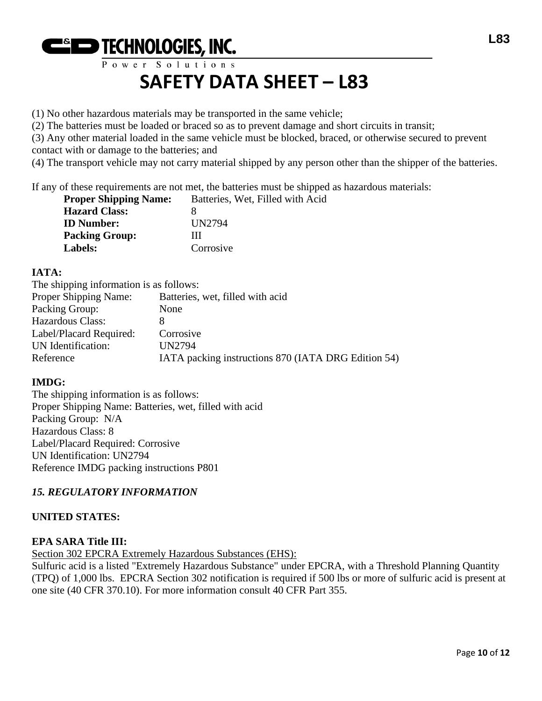

(1) No other hazardous materials may be transported in the same vehicle;

(2) The batteries must be loaded or braced so as to prevent damage and short circuits in transit;

(3) Any other material loaded in the same vehicle must be blocked, braced, or otherwise secured to prevent contact with or damage to the batteries; and

(4) The transport vehicle may not carry material shipped by any person other than the shipper of the batteries.

If any of these requirements are not met, the batteries must be shipped as hazardous materials:

| <b>Proper Shipping Name:</b> | Batteries, Wet, Filled with Acid |
|------------------------------|----------------------------------|
| <b>Hazard Class:</b>         |                                  |
| <b>ID</b> Number:            | UN2794                           |
| <b>Packing Group:</b>        | Ш                                |
| Labels:                      | Corrosive                        |

#### **IATA:**

The shipping information is as follows:

| The simpling information is as follows. |                                                     |
|-----------------------------------------|-----------------------------------------------------|
| <b>Proper Shipping Name:</b>            | Batteries, wet, filled with acid                    |
| Packing Group:                          | None                                                |
| Hazardous Class:                        |                                                     |
| Label/Placard Required:                 | Corrosive                                           |
| UN Identification:                      | UN2794                                              |
| Reference                               | IATA packing instructions 870 (IATA DRG Edition 54) |
|                                         |                                                     |

#### **IMDG:**

The shipping information is as follows: Proper Shipping Name: Batteries, wet, filled with acid Packing Group: N/A Hazardous Class: 8 Label/Placard Required: Corrosive UN Identification: UN2794 Reference IMDG packing instructions P801

#### *15. REGULATORY INFORMATION*

#### **UNITED STATES:**

#### **EPA SARA Title III:**

Section 302 EPCRA Extremely Hazardous Substances (EHS):

Sulfuric acid is a listed "Extremely Hazardous Substance" under EPCRA, with a Threshold Planning Quantity (TPQ) of 1,000 lbs. EPCRA Section 302 notification is required if 500 lbs or more of sulfuric acid is present at one site (40 CFR 370.10). For more information consult 40 CFR Part 355.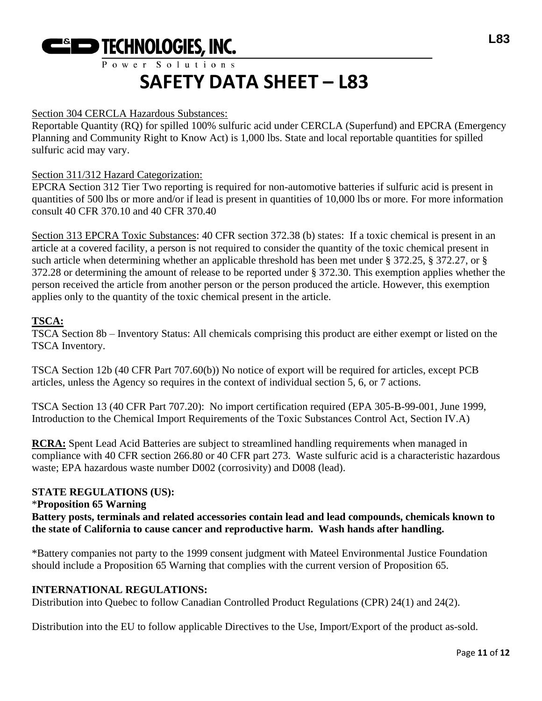

#### Section 304 CERCLA Hazardous Substances:

Reportable Quantity (RQ) for spilled 100% sulfuric acid under CERCLA (Superfund) and EPCRA (Emergency Planning and Community Right to Know Act) is 1,000 lbs. State and local reportable quantities for spilled sulfuric acid may vary.

#### Section 311/312 Hazard Categorization:

EPCRA Section 312 Tier Two reporting is required for non-automotive batteries if sulfuric acid is present in quantities of 500 lbs or more and/or if lead is present in quantities of 10,000 lbs or more. For more information consult 40 CFR 370.10 and 40 CFR 370.40

Section 313 EPCRA Toxic Substances: 40 CFR section 372.38 (b) states: If a toxic chemical is present in an article at a covered facility, a person is not required to consider the quantity of the toxic chemical present in such article when determining whether an applicable threshold has been met under § 372.25, § 372.27, or § 372.28 or determining the amount of release to be reported under § 372.30. This exemption applies whether the person received the article from another person or the person produced the article. However, this exemption applies only to the quantity of the toxic chemical present in the article.

#### **TSCA:**

TSCA Section 8b – Inventory Status: All chemicals comprising this product are either exempt or listed on the TSCA Inventory.

TSCA Section 12b (40 CFR Part 707.60(b)) No notice of export will be required for articles, except PCB articles, unless the Agency so requires in the context of individual section 5, 6, or 7 actions.

TSCA Section 13 (40 CFR Part 707.20): No import certification required (EPA 305-B-99-001, June 1999, Introduction to the Chemical Import Requirements of the Toxic Substances Control Act, Section IV.A)

**RCRA:** Spent Lead Acid Batteries are subject to streamlined handling requirements when managed in compliance with 40 CFR section 266.80 or 40 CFR part 273. Waste sulfuric acid is a characteristic hazardous waste; EPA hazardous waste number D002 (corrosivity) and D008 (lead).

#### **STATE REGULATIONS (US):**

#### \***Proposition 65 Warning**

**Battery posts, terminals and related accessories contain lead and lead compounds, chemicals known to the state of California to cause cancer and reproductive harm. Wash hands after handling.**

\*Battery companies not party to the 1999 consent judgment with Mateel Environmental Justice Foundation should include a Proposition 65 Warning that complies with the current version of Proposition 65.

#### **INTERNATIONAL REGULATIONS:**

Distribution into Quebec to follow Canadian Controlled Product Regulations (CPR) 24(1) and 24(2).

Distribution into the EU to follow applicable Directives to the Use, Import/Export of the product as-sold.